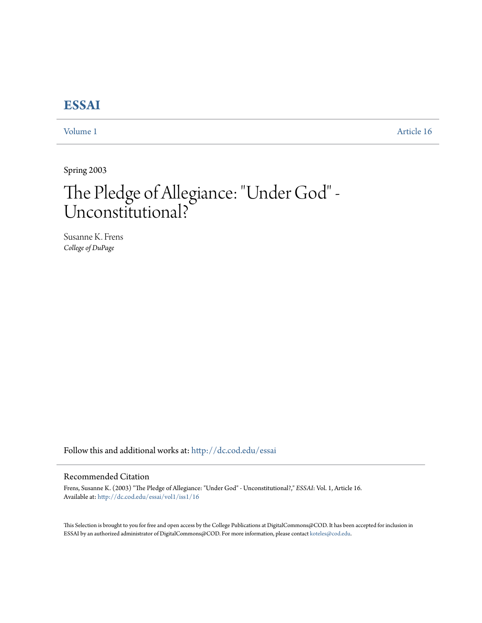# **[ESSAI](http://dc.cod.edu/essai?utm_source=dc.cod.edu%2Fessai%2Fvol1%2Fiss1%2F16&utm_medium=PDF&utm_campaign=PDFCoverPages)**

[Volume 1](http://dc.cod.edu/essai/vol1?utm_source=dc.cod.edu%2Fessai%2Fvol1%2Fiss1%2F16&utm_medium=PDF&utm_campaign=PDFCoverPages) [Article 16](http://dc.cod.edu/essai/vol1/iss1/16?utm_source=dc.cod.edu%2Fessai%2Fvol1%2Fiss1%2F16&utm_medium=PDF&utm_campaign=PDFCoverPages)

Spring 2003

# The Pledge of Allegiance: "Under God" - Unconstitutional?

Susanne K. Frens *College of DuPage*

Follow this and additional works at: [http://dc.cod.edu/essai](http://dc.cod.edu/essai?utm_source=dc.cod.edu%2Fessai%2Fvol1%2Fiss1%2F16&utm_medium=PDF&utm_campaign=PDFCoverPages)

# Recommended Citation

Frens, Susanne K. (2003) "The Pledge of Allegiance: "Under God" - Unconstitutional?," *ESSAI*: Vol. 1, Article 16. Available at: [http://dc.cod.edu/essai/vol1/iss1/16](http://dc.cod.edu/essai/vol1/iss1/16?utm_source=dc.cod.edu%2Fessai%2Fvol1%2Fiss1%2F16&utm_medium=PDF&utm_campaign=PDFCoverPages)

This Selection is brought to you for free and open access by the College Publications at DigitalCommons@COD. It has been accepted for inclusion in ESSAI by an authorized administrator of DigitalCommons@COD. For more information, please contact [koteles@cod.edu](mailto:koteles@cod.edu).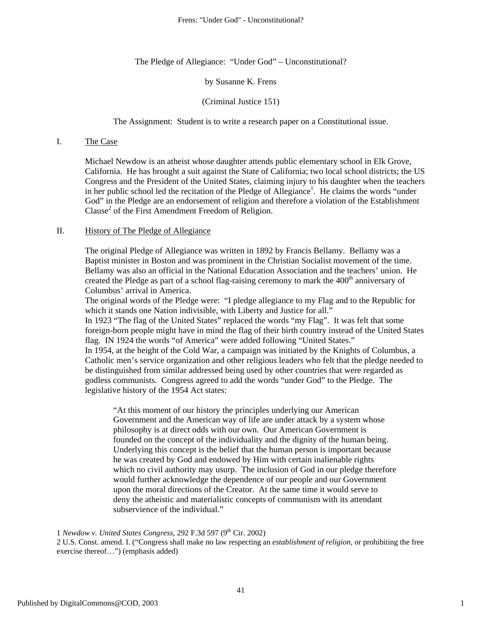The Pledge of Allegiance: "Under God" – Unconstitutional?

#### by Susanne K. Frens

#### (Criminal Justice 151)

#### The Assignment: Student is to write a research paper on a Constitutional issue.

# I. The Case

Michael Newdow is an atheist whose daughter attends public elementary school in Elk Grove, California. He has brought a suit against the State of California; two local school districts; the US Congress and the President of the United States, claiming injury to his daughter when the teachers in her public school led the recitation of the Pledge of Allegiance<sup>1</sup>. He claims the words "under God" in the Pledge are an endorsement of religion and therefore a violation of the Establishment Clause<sup>2</sup> of the First Amendment Freedom of Religion.

#### II. History of The Pledge of Allegiance

The original Pledge of Allegiance was written in 1892 by Francis Bellamy. Bellamy was a Baptist minister in Boston and was prominent in the Christian Socialist movement of the time. Bellamy was also an official in the National Education Association and the teachers' union. He created the Pledge as part of a school flag-raising ceremony to mark the  $400<sup>th</sup>$  anniversary of Columbus' arrival in America.

The original words of the Pledge were: "I pledge allegiance to my Flag and to the Republic for which it stands one Nation indivisible, with Liberty and Justice for all."

In 1923 "The flag of the United States" replaced the words "my Flag". It was felt that some foreign-born people might have in mind the flag of their birth country instead of the United States flag. IN 1924 the words "of America" were added following "United States."

In 1954, at the height of the Cold War, a campaign was initiated by the Knights of Columbus, a Catholic men's service organization and other religious leaders who felt that the pledge needed to be distinguished from similar addressed being used by other countries that were regarded as godless communists. Congress agreed to add the words "under God" to the Pledge. The legislative history of the 1954 Act states:

"At this moment of our history the principles underlying our American Government and the American way of life are under attack by a system whose philosophy is at direct odds with our own. Our American Government is founded on the concept of the individuality and the dignity of the human being. Underlying this concept is the belief that the human person is important because he was created by God and endowed by Him with certain inalienable rights which no civil authority may usurp. The inclusion of God in our pledge therefore would further acknowledge the dependence of our people and our Government upon the moral directions of the Creator. At the same time it would serve to deny the atheistic and materialistic concepts of communism with its attendant subservience of the individual."

1 *Newdow v. United States Congress*, 292 F.3d 597 (9<sup>th</sup> Cir. 2002)

2 U.S. Const. amend. I. ("Congress shall make no law respecting an *establishment of religion*, or prohibiting the free exercise thereof…") (emphasis added)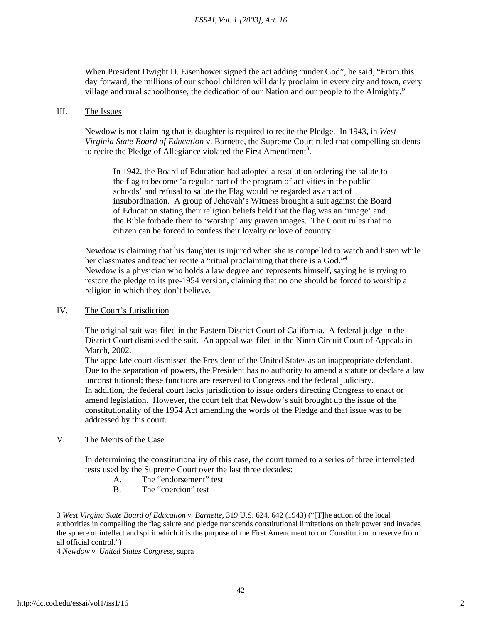When President Dwight D. Eisenhower signed the act adding "under God", he said, "From this day forward, the millions of our school children will daily proclaim in every city and town, every village and rural schoolhouse, the dedication of our Nation and our people to the Almighty."

#### III. The Issues

Newdow is not claiming that is daughter is required to recite the Pledge. In 1943, in *West Virginia State Board of Education* v. Barnette, the Supreme Court ruled that compelling students to recite the Pledge of Allegiance violated the First Amendment<sup>3</sup>.

In 1942, the Board of Education had adopted a resolution ordering the salute to the flag to become 'a regular part of the program of activities in the public schools' and refusal to salute the Flag would be regarded as an act of insubordination. A group of Jehovah's Witness brought a suit against the Board of Education stating their religion beliefs held that the flag was an 'image' and the Bible forbade them to 'worship' any graven images. The Court rules that no citizen can be forced to confess their loyalty or love of country.

Newdow is claiming that his daughter is injured when she is compelled to watch and listen while her classmates and teacher recite a "ritual proclaiming that there is a God."<sup>4</sup> Newdow is a physician who holds a law degree and represents himself, saying he is trying to restore the pledge to its pre-1954 version, claiming that no one should be forced to worship a religion in which they don't believe.

#### IV. The Court's Jurisdiction

The original suit was filed in the Eastern District Court of California. A federal judge in the District Court dismissed the suit. An appeal was filed in the Ninth Circuit Court of Appeals in March, 2002.

The appellate court dismissed the President of the United States as an inappropriate defendant. Due to the separation of powers, the President has no authority to amend a statute or declare a law unconstitutional; these functions are reserved to Congress and the federal judiciary. In addition, the federal court lacks jurisdiction to issue orders directing Congress to enact or amend legislation. However, the court felt that Newdow's suit brought up the issue of the constitutionality of the 1954 Act amending the words of the Pledge and that issue was to be addressed by this court.

# V. The Merits of the Case

In determining the constitutionality of this case, the court turned to a series of three interrelated tests used by the Supreme Court over the last three decades:

- A. The "endorsement" test
- B. The "coercion" test

3 *West Virgina State Board of Education v. Barnette*, 319 U.S. 624, 642 (1943) ("[T]he action of the local authorities in compelling the flag salute and pledge transcends constitutional limitations on their power and invades the sphere of intellect and spirit which it is the purpose of the First Amendment to our Constitution to reserve from all official control.")

4 *Newdow v. United States Congress*, supra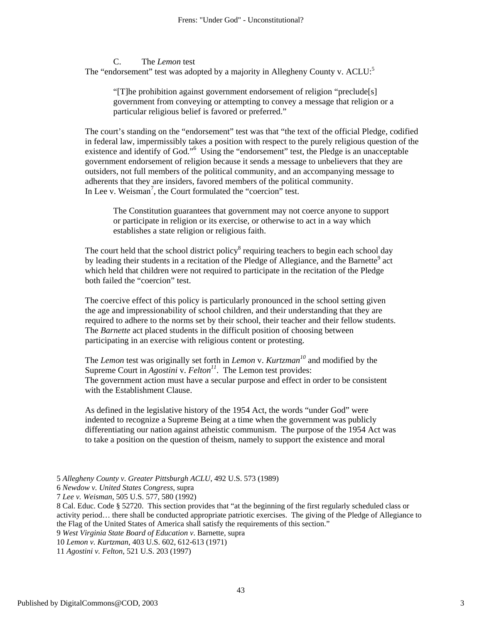C. The *Lemon* test The "endorsement" test was adopted by a majority in Allegheny County v.  $ACLU$ :<sup>5</sup>

"[T]he prohibition against government endorsement of religion "preclude[s] government from conveying or attempting to convey a message that religion or a particular religious belief is favored or preferred."

The court's standing on the "endorsement" test was that "the text of the official Pledge, codified in federal law, impermissibly takes a position with respect to the purely religious question of the existence and identify of God."<sup>6</sup> Using the "endorsement" test, the Pledge is an unacceptable government endorsement of religion because it sends a message to unbelievers that they are outsiders, not full members of the political community, and an accompanying message to adherents that they are insiders, favored members of the political community. In Lee v. Weisman<sup>7</sup>, the Court formulated the "coercion" test.

The Constitution guarantees that government may not coerce anyone to support or participate in religion or its exercise, or otherwise to act in a way which establishes a state religion or religious faith.

The court held that the school district policy<sup>8</sup> requiring teachers to begin each school day by leading their students in a recitation of the Pledge of Allegiance, and the Barnette<sup>9</sup> act which held that children were not required to participate in the recitation of the Pledge both failed the "coercion" test.

The coercive effect of this policy is particularly pronounced in the school setting given the age and impressionability of school children, and their understanding that they are required to adhere to the norms set by their school, their teacher and their fellow students. The *Barnette* act placed students in the difficult position of choosing between participating in an exercise with religious content or protesting.

The *Lemon* test was originally set forth in *Lemon* v. *Kurtzman<sup>10</sup>* and modified by the Supreme Court in *Agostini* v. *Felton*<sup>11</sup>. The Lemon test provides: The government action must have a secular purpose and effect in order to be consistent with the Establishment Clause.

As defined in the legislative history of the 1954 Act, the words "under God" were indented to recognize a Supreme Being at a time when the government was publicly differentiating our nation against atheistic communism. The purpose of the 1954 Act was to take a position on the question of theism, namely to support the existence and moral

5 *Allegheny County v. Greater Pittsburgh ACLU*, 492 U.S. 573 (1989)

6 *Newdow v. United States Congress*, supra

7 *Lee v. Weisman*, 505 U.S. 577, 580 (1992)

8 Cal. Educ. Code § 52720. This section provides that "at the beginning of the first regularly scheduled class or activity period… there shall be conducted appropriate patriotic exercises. The giving of the Pledge of Allegiance to the Flag of the United States of America shall satisfy the requirements of this section."

9 *West Virginia State Board of Education v*. Barnette, supra

10 *Lemon v. Kurtzman*, 403 U.S. 602, 612-613 (1971) 11 *Agostini v. Felton*, 521 U.S. 203 (1997)

Published by DigitalCommons@COD, 2003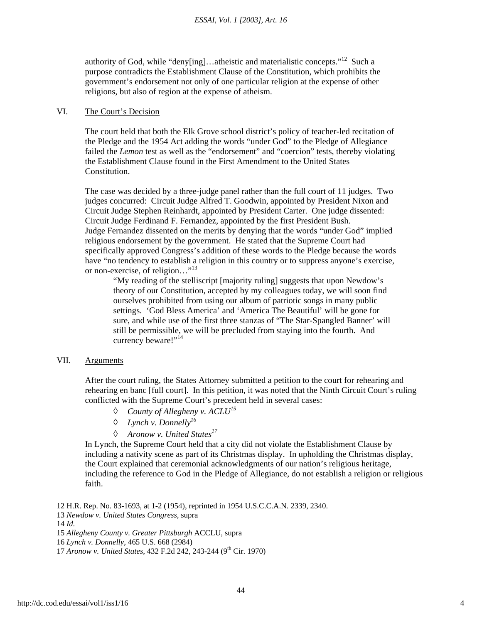authority of God, while "deny[ing]...atheistic and materialistic concepts."<sup>12</sup> Such a purpose contradicts the Establishment Clause of the Constitution, which prohibits the government's endorsement not only of one particular religion at the expense of other religions, but also of region at the expense of atheism.

#### VI. The Court's Decision

The court held that both the Elk Grove school district's policy of teacher-led recitation of the Pledge and the 1954 Act adding the words "under God" to the Pledge of Allegiance failed the *Lemon* test as well as the "endorsement" and "coercion" tests, thereby violating the Establishment Clause found in the First Amendment to the United States Constitution.

The case was decided by a three-judge panel rather than the full court of 11 judges. Two judges concurred: Circuit Judge Alfred T. Goodwin, appointed by President Nixon and Circuit Judge Stephen Reinhardt, appointed by President Carter. One judge dissented: Circuit Judge Ferdinand F. Fernandez, appointed by the first President Bush. Judge Fernandez dissented on the merits by denying that the words "under God" implied religious endorsement by the government. He stated that the Supreme Court had specifically approved Congress's addition of these words to the Pledge because the words have "no tendency to establish a religion in this country or to suppress anyone's exercise, or non-exercise, of religion..."<sup>13</sup>

"My reading of the stelliscript [majority ruling] suggests that upon Newdow's theory of our Constitution, accepted by my colleagues today, we will soon find ourselves prohibited from using our album of patriotic songs in many public settings. 'God Bless America' and 'America The Beautiful' will be gone for sure, and while use of the first three stanzas of "The Star-Spangled Banner' will still be permissible, we will be precluded from staying into the fourth. And currency beware!"<sup>14</sup>

# VII. Arguments

After the court ruling, the States Attorney submitted a petition to the court for rehearing and rehearing en banc [full court]. In this petition, it was noted that the Ninth Circuit Court's ruling conflicted with the Supreme Court's precedent held in several cases:

- ◊ *County of Allegheny v. ACLU15*
- ◊ *Lynch v. Donnelly16*
- ◊ *Aronow v. United States17*

In Lynch, the Supreme Court held that a city did not violate the Establishment Clause by including a nativity scene as part of its Christmas display. In upholding the Christmas display, the Court explained that ceremonial acknowledgments of our nation's religious heritage, including the reference to God in the Pledge of Allegiance, do not establish a religion or religious faith.

12 H.R. Rep. No. 83-1693, at 1-2 (1954), reprinted in 1954 U.S.C.C.A.N. 2339, 2340. *Newdow v. United States Congress*, supra 14 *Id. Allegheny County v. Greater Pittsburgh* ACCLU, supra *Lynch v. Donnelly*, 465 U.S. 668 (2984) *Aronow v. United States*, 432 F.2d 242, 243-244 (9<sup>th</sup> Cir. 1970)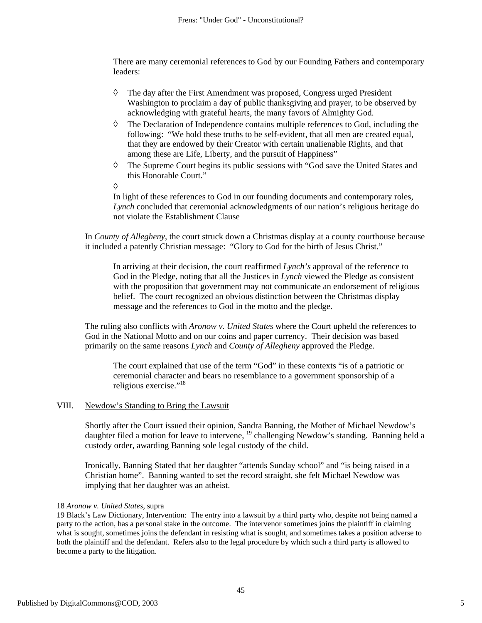There are many ceremonial references to God by our Founding Fathers and contemporary leaders:

- ◊ The day after the First Amendment was proposed, Congress urged President Washington to proclaim a day of public thanksgiving and prayer, to be observed by acknowledging with grateful hearts, the many favors of Almighty God.
- $\Diamond$  The Declaration of Independence contains multiple references to God, including the following: "We hold these truths to be self-evident, that all men are created equal, that they are endowed by their Creator with certain unalienable Rights, and that among these are Life, Liberty, and the pursuit of Happiness"
- $\Diamond$  The Supreme Court begins its public sessions with "God save the United States and this Honorable Court."

◊

In light of these references to God in our founding documents and contemporary roles, *Lynch* concluded that ceremonial acknowledgments of our nation's religious heritage do not violate the Establishment Clause

In *County of Allegheny*, the court struck down a Christmas display at a county courthouse because it included a patently Christian message: "Glory to God for the birth of Jesus Christ."

In arriving at their decision, the court reaffirmed *Lynch's* approval of the reference to God in the Pledge, noting that all the Justices in *Lynch* viewed the Pledge as consistent with the proposition that government may not communicate an endorsement of religious belief. The court recognized an obvious distinction between the Christmas display message and the references to God in the motto and the pledge.

The ruling also conflicts with *Aronow v. United States* where the Court upheld the references to God in the National Motto and on our coins and paper currency. Their decision was based primarily on the same reasons *Lynch* and *County of Allegheny* approved the Pledge.

The court explained that use of the term "God" in these contexts "is of a patriotic or ceremonial character and bears no resemblance to a government sponsorship of a religious exercise."<sup>18</sup>

# VIII. Newdow's Standing to Bring the Lawsuit

Shortly after the Court issued their opinion, Sandra Banning, the Mother of Michael Newdow's daughter filed a motion for leave to intervene, <sup>19</sup> challenging Newdow's standing. Banning held a custody order, awarding Banning sole legal custody of the child.

Ironically, Banning Stated that her daughter "attends Sunday school" and "is being raised in a Christian home". Banning wanted to set the record straight, she felt Michael Newdow was implying that her daughter was an atheist.

<sup>18</sup> *Aronow v. United States*, supra

<sup>19</sup> Black's Law Dictionary, Intervention: The entry into a lawsuit by a third party who, despite not being named a party to the action, has a personal stake in the outcome. The intervenor sometimes joins the plaintiff in claiming what is sought, sometimes joins the defendant in resisting what is sought, and sometimes takes a position adverse to both the plaintiff and the defendant. Refers also to the legal procedure by which such a third party is allowed to become a party to the litigation.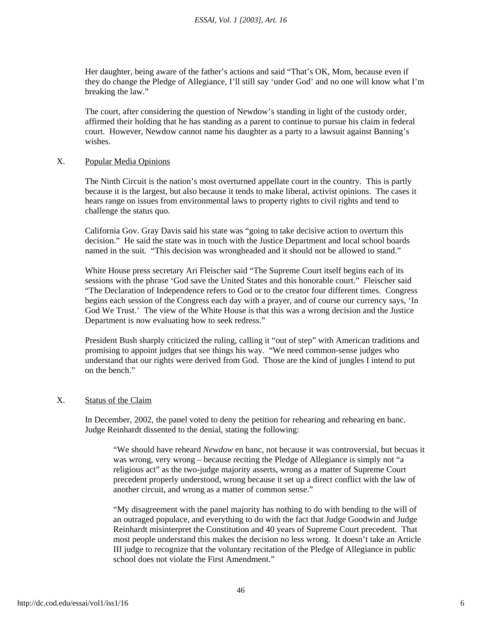Her daughter, being aware of the father's actions and said "That's OK, Mom, because even if they do change the Pledge of Allegiance, I'll still say 'under God' and no one will know what I'm breaking the law."

The court, after considering the question of Newdow's standing in light of the custody order, affirmed their holding that he has standing as a parent to continue to pursue his claim in federal court. However, Newdow cannot name his daughter as a party to a lawsuit against Banning's wishes.

#### X. Popular Media Opinions

The Ninth Circuit is the nation's most overturned appellate court in the country. This is partly because it is the largest, but also because it tends to make liberal, activist opinions. The cases it hears range on issues from environmental laws to property rights to civil rights and tend to challenge the status quo.

California Gov. Gray Davis said his state was "going to take decisive action to overturn this decision." He said the state was in touch with the Justice Department and local school boards named in the suit. "This decision was wrongheaded and it should not be allowed to stand."

White House press secretary Ari Fleischer said "The Supreme Court itself begins each of its sessions with the phrase 'God save the United States and this honorable court." Fleischer said "The Declaration of Independence refers to God or to the creator four different times. Congress begins each session of the Congress each day with a prayer, and of course our currency says, 'In God We Trust.' The view of the White House is that this was a wrong decision and the Justice Department is now evaluating how to seek redress."

President Bush sharply criticized the ruling, calling it "out of step" with American traditions and promising to appoint judges that see things his way. "We need common-sense judges who understand that our rights were derived from God. Those are the kind of jungles I intend to put on the bench<sup>"</sup>

# X. Status of the Claim

In December, 2002, the panel voted to deny the petition for rehearing and rehearing en banc. Judge Reinhardt dissented to the denial, stating the following:

"We should have reheard *Newdow* en banc, not because it was controversial, but becuas it was wrong, very wrong – because reciting the Pledge of Allegiance is simply not "a religious act" as the two-judge majority asserts, wrong as a matter of Supreme Court precedent properly understood, wrong because it set up a direct conflict with the law of another circuit, and wrong as a matter of common sense."

"My disagreement with the panel majority has nothing to do with bending to the will of an outraged populace, and everything to do with the fact that Judge Goodwin and Judge Reinhardt misinterpret the Constitution and 40 years of Supreme Court precedent. That most people understand this makes the decision no less wrong. It doesn't take an Article III judge to recognize that the voluntary recitation of the Pledge of Allegiance in public school does not violate the First Amendment."